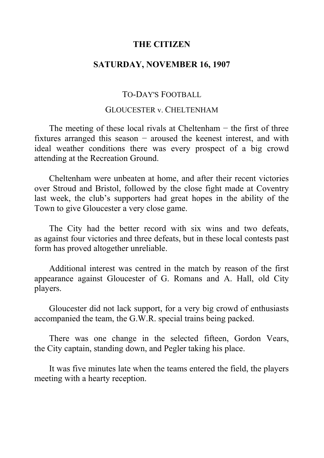## **THE CITIZEN**

# **SATURDAY, NOVEMBER 16, 1907**

# TO-DAY'S FOOTBALL

### GLOUCESTER v. CHELTENHAM

The meeting of these local rivals at Cheltenham  $-$  the first of three fixtures arranged this season − aroused the keenest interest, and with ideal weather conditions there was every prospect of a big crowd attending at the Recreation Ground.

Cheltenham were unbeaten at home, and after their recent victories over Stroud and Bristol, followed by the close fight made at Coventry last week, the club's supporters had great hopes in the ability of the Town to give Gloucester a very close game.

The City had the better record with six wins and two defeats, as against four victories and three defeats, but in these local contests past form has proved altogether unreliable.

Additional interest was centred in the match by reason of the first appearance against Gloucester of G. Romans and A. Hall, old City players.

Gloucester did not lack support, for a very big crowd of enthusiasts accompanied the team, the G.W.R. special trains being packed.

There was one change in the selected fifteen, Gordon Vears, the City captain, standing down, and Pegler taking his place.

It was five minutes late when the teams entered the field, the players meeting with a hearty reception.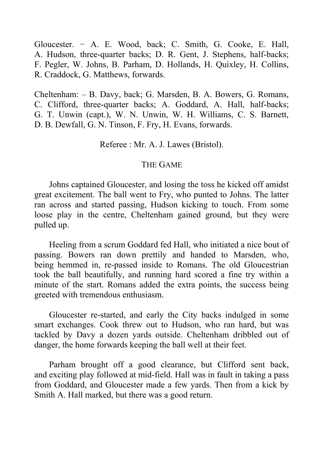Gloucester. − A. E. Wood, back; C. Smith, G. Cooke, E. Hall, A. Hudson, three-quarter backs; D. R. Gent, J. Stephens, half-backs; F. Pegler, W. Johns, B. Parham, D. Hollands, H. Quixley, H. Collins, R. Craddock, G. Matthews, forwards.

Cheltenham: ‒ B. Davy, back; G. Marsden, B. A. Bowers, G. Romans, C. Clifford, three-quarter backs; A. Goddard, A. Hall, half-backs; G. T. Unwin (capt.), W. N. Unwin, W. H. Williams, C. S. Barnett, D. B. Dewfall, G. N. Tinson, F. Fry, H. Evans, forwards.

Referee : Mr. A. J. Lawes (Bristol).

### THE GAME

Johns captained Gloucester, and losing the toss he kicked off amidst great excitement. The ball went to Fry, who punted to Johns. The latter ran across and started passing, Hudson kicking to touch. From some loose play in the centre, Cheltenham gained ground, but they were pulled up.

Heeling from a scrum Goddard fed Hall, who initiated a nice bout of passing. Bowers ran down prettily and handed to Marsden, who, being hemmed in, re-passed inside to Romans. The old Gloucestrian took the ball beautifully, and running hard scored a fine try within a minute of the start. Romans added the extra points, the success being greeted with tremendous enthusiasm.

Gloucester re-started, and early the City backs indulged in some smart exchanges. Cook threw out to Hudson, who ran hard, but was tackled by Davy a dozen yards outside. Cheltenham dribbled out of danger, the home forwards keeping the ball well at their feet.

Parham brought off a good clearance, but Clifford sent back, and exciting play followed at mid-field. Hall was in fault in taking a pass from Goddard, and Gloucester made a few yards. Then from a kick by Smith A. Hall marked, but there was a good return.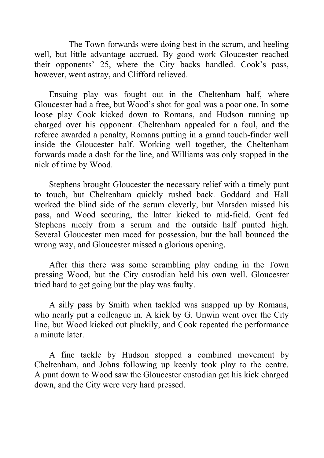The Town forwards were doing best in the scrum, and heeling well, but little advantage accrued. By good work Gloucester reached their opponents' 25, where the City backs handled. Cook's pass, however, went astray, and Clifford relieved.

Ensuing play was fought out in the Cheltenham half, where Gloucester had a free, but Wood's shot for goal was a poor one. In some loose play Cook kicked down to Romans, and Hudson running up charged over his opponent. Cheltenham appealed for a foul, and the referee awarded a penalty, Romans putting in a grand touch-finder well inside the Gloucester half. Working well together, the Cheltenham forwards made a dash for the line, and Williams was only stopped in the nick of time by Wood.

Stephens brought Gloucester the necessary relief with a timely punt to touch, but Cheltenham quickly rushed back. Goddard and Hall worked the blind side of the scrum cleverly, but Marsden missed his pass, and Wood securing, the latter kicked to mid-field. Gent fed Stephens nicely from a scrum and the outside half punted high. Several Gloucester men raced for possession, but the ball bounced the wrong way, and Gloucester missed a glorious opening.

After this there was some scrambling play ending in the Town pressing Wood, but the City custodian held his own well. Gloucester tried hard to get going but the play was faulty.

A silly pass by Smith when tackled was snapped up by Romans, who nearly put a colleague in. A kick by G. Unwin went over the City line, but Wood kicked out pluckily, and Cook repeated the performance a minute later.

A fine tackle by Hudson stopped a combined movement by Cheltenham, and Johns following up keenly took play to the centre. A punt down to Wood saw the Gloucester custodian get his kick charged down, and the City were very hard pressed.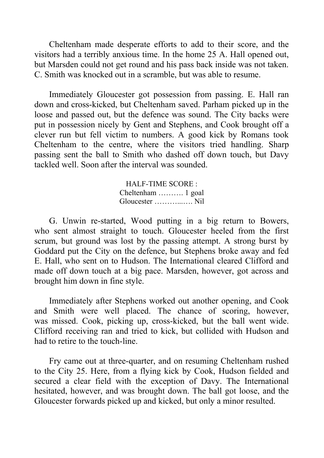Cheltenham made desperate efforts to add to their score, and the visitors had a terribly anxious time. In the home 25 A. Hall opened out, but Marsden could not get round and his pass back inside was not taken. C. Smith was knocked out in a scramble, but was able to resume.

Immediately Gloucester got possession from passing. E. Hall ran down and cross-kicked, but Cheltenham saved. Parham picked up in the loose and passed out, but the defence was sound. The City backs were put in possession nicely by Gent and Stephens, and Cook brought off a clever run but fell victim to numbers. A good kick by Romans took Cheltenham to the centre, where the visitors tried handling. Sharp passing sent the ball to Smith who dashed off down touch, but Davy tackled well. Soon after the interval was sounded.

> HALF-TIME SCORE : Cheltenham ………. 1 goal Gloucester ………...…. Nil

G. Unwin re-started, Wood putting in a big return to Bowers, who sent almost straight to touch. Gloucester heeled from the first scrum, but ground was lost by the passing attempt. A strong burst by Goddard put the City on the defence, but Stephens broke away and fed E. Hall, who sent on to Hudson. The International cleared Clifford and made off down touch at a big pace. Marsden, however, got across and brought him down in fine style.

Immediately after Stephens worked out another opening, and Cook and Smith were well placed. The chance of scoring, however, was missed. Cook, picking up, cross-kicked, but the ball went wide. Clifford receiving ran and tried to kick, but collided with Hudson and had to retire to the touch-line.

Fry came out at three-quarter, and on resuming Cheltenham rushed to the City 25. Here, from a flying kick by Cook, Hudson fielded and secured a clear field with the exception of Davy. The International hesitated, however, and was brought down. The ball got loose, and the Gloucester forwards picked up and kicked, but only a minor resulted.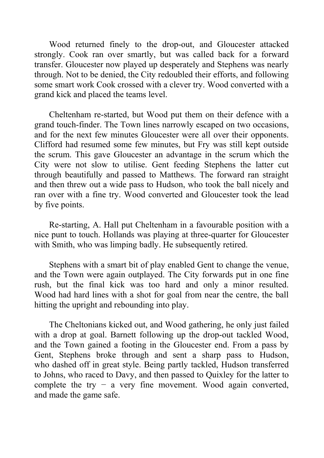Wood returned finely to the drop-out, and Gloucester attacked strongly. Cook ran over smartly, but was called back for a forward transfer. Gloucester now played up desperately and Stephens was nearly through. Not to be denied, the City redoubled their efforts, and following some smart work Cook crossed with a clever try. Wood converted with a grand kick and placed the teams level.

Cheltenham re-started, but Wood put them on their defence with a grand touch-finder. The Town lines narrowly escaped on two occasions, and for the next few minutes Gloucester were all over their opponents. Clifford had resumed some few minutes, but Fry was still kept outside the scrum. This gave Gloucester an advantage in the scrum which the City were not slow to utilise. Gent feeding Stephens the latter cut through beautifully and passed to Matthews. The forward ran straight and then threw out a wide pass to Hudson, who took the ball nicely and ran over with a fine try. Wood converted and Gloucester took the lead by five points.

Re-starting, A. Hall put Cheltenham in a favourable position with a nice punt to touch. Hollands was playing at three-quarter for Gloucester with Smith, who was limping badly. He subsequently retired.

Stephens with a smart bit of play enabled Gent to change the venue, and the Town were again outplayed. The City forwards put in one fine rush, but the final kick was too hard and only a minor resulted. Wood had hard lines with a shot for goal from near the centre, the ball hitting the upright and rebounding into play.

The Cheltonians kicked out, and Wood gathering, he only just failed with a drop at goal. Barnett following up the drop-out tackled Wood, and the Town gained a footing in the Gloucester end. From a pass by Gent, Stephens broke through and sent a sharp pass to Hudson, who dashed off in great style. Being partly tackled, Hudson transferred to Johns, who raced to Davy, and then passed to Quixley for the latter to complete the try  $-$  a very fine movement. Wood again converted, and made the game safe.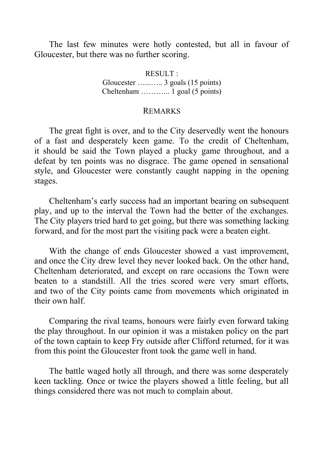The last few minutes were hotly contested, but all in favour of Gloucester, but there was no further scoring.

> RESULT : Gloucester …...….. 3 goals (15 points) Cheltenham ………... 1 goal (5 points)

## REMARKS

The great fight is over, and to the City deservedly went the honours of a fast and desperately keen game. To the credit of Cheltenham, it should be said the Town played a plucky game throughout, and a defeat by ten points was no disgrace. The game opened in sensational style, and Gloucester were constantly caught napping in the opening stages.

Cheltenham's early success had an important bearing on subsequent play, and up to the interval the Town had the better of the exchanges. The City players tried hard to get going, but there was something lacking forward, and for the most part the visiting pack were a beaten eight.

With the change of ends Gloucester showed a vast improvement, and once the City drew level they never looked back. On the other hand, Cheltenham deteriorated, and except on rare occasions the Town were beaten to a standstill. All the tries scored were very smart efforts, and two of the City points came from movements which originated in their own half.

Comparing the rival teams, honours were fairly even forward taking the play throughout. In our opinion it was a mistaken policy on the part of the town captain to keep Fry outside after Clifford returned, for it was from this point the Gloucester front took the game well in hand.

The battle waged hotly all through, and there was some desperately keen tackling. Once or twice the players showed a little feeling, but all things considered there was not much to complain about.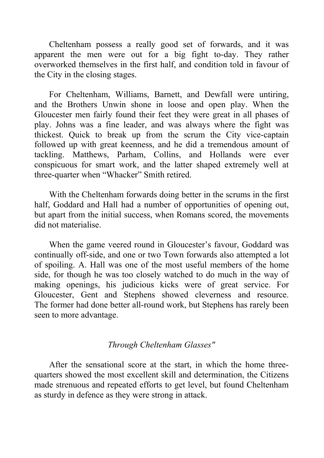Cheltenham possess a really good set of forwards, and it was apparent the men were out for a big fight to-day. They rather overworked themselves in the first half, and condition told in favour of the City in the closing stages.

For Cheltenham, Williams, Barnett, and Dewfall were untiring, and the Brothers Unwin shone in loose and open play. When the Gloucester men fairly found their feet they were great in all phases of play. Johns was a fine leader, and was always where the fight was thickest. Quick to break up from the scrum the City vice-captain followed up with great keenness, and he did a tremendous amount of tackling. Matthews, Parham, Collins, and Hollands were ever conspicuous for smart work, and the latter shaped extremely well at three-quarter when "Whacker" Smith retired.

With the Cheltenham forwards doing better in the scrums in the first half, Goddard and Hall had a number of opportunities of opening out, but apart from the initial success, when Romans scored, the movements did not materialise.

When the game veered round in Gloucester's favour, Goddard was continually off-side, and one or two Town forwards also attempted a lot of spoiling. A. Hall was one of the most useful members of the home side, for though he was too closely watched to do much in the way of making openings, his judicious kicks were of great service. For Gloucester, Gent and Stephens showed cleverness and resource. The former had done better all-round work, but Stephens has rarely been seen to more advantage.

# *Through Cheltenham Glasses"*

After the sensational score at the start, in which the home threequarters showed the most excellent skill and determination, the Citizens made strenuous and repeated efforts to get level, but found Cheltenham as sturdy in defence as they were strong in attack.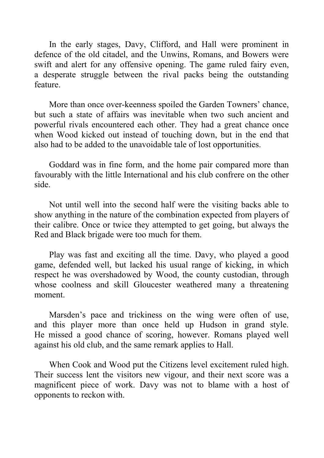In the early stages, Davy, Clifford, and Hall were prominent in defence of the old citadel, and the Unwins, Romans, and Bowers were swift and alert for any offensive opening. The game ruled fairy even, a desperate struggle between the rival packs being the outstanding feature.

More than once over-keenness spoiled the Garden Towners' chance, but such a state of affairs was inevitable when two such ancient and powerful rivals encountered each other. They had a great chance once when Wood kicked out instead of touching down, but in the end that also had to be added to the unavoidable tale of lost opportunities.

Goddard was in fine form, and the home pair compared more than favourably with the little International and his club confrere on the other side.

Not until well into the second half were the visiting backs able to show anything in the nature of the combination expected from players of their calibre. Once or twice they attempted to get going, but always the Red and Black brigade were too much for them.

Play was fast and exciting all the time. Davy, who played a good game, defended well, but lacked his usual range of kicking, in which respect he was overshadowed by Wood, the county custodian, through whose coolness and skill Gloucester weathered many a threatening moment.

Marsden's pace and trickiness on the wing were often of use, and this player more than once held up Hudson in grand style. He missed a good chance of scoring, however. Romans played well against his old club, and the same remark applies to Hall.

When Cook and Wood put the Citizens level excitement ruled high. Their success lent the visitors new vigour, and their next score was a magnificent piece of work. Davy was not to blame with a host of opponents to reckon with.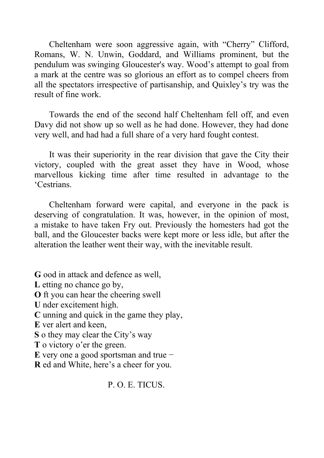Cheltenham were soon aggressive again, with "Cherry" Clifford, Romans, W. N. Unwin, Goddard, and Williams prominent, but the pendulum was swinging Gloucester's way. Wood's attempt to goal from a mark at the centre was so glorious an effort as to compel cheers from all the spectators irrespective of partisanship, and Quixley's try was the result of fine work.

Towards the end of the second half Cheltenham fell off, and even Davy did not show up so well as he had done. However, they had done very well, and had had a full share of a very hard fought contest.

It was their superiority in the rear division that gave the City their victory, coupled with the great asset they have in Wood, whose marvellous kicking time after time resulted in advantage to the 'Cestrians.

Cheltenham forward were capital, and everyone in the pack is deserving of congratulation. It was, however, in the opinion of most, a mistake to have taken Fry out. Previously the homesters had got the ball, and the Gloucester backs were kept more or less idle, but after the alteration the leather went their way, with the inevitable result.

**G** ood in attack and defence as well, **L** etting no chance go by, **O** ft you can hear the cheering swell **U** nder excitement high. **C** unning and quick in the game they play, **E** ver alert and keen, **S** o they may clear the City's way **T** o victory o'er the green. **E** very one a good sportsman and true − **R** ed and White, here's a cheer for you.

P. O. E. TICUS.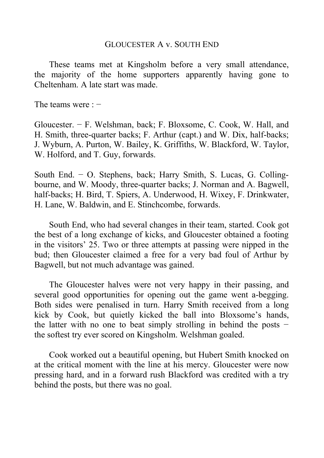### GLOUCESTER A v. SOUTH END

These teams met at Kingsholm before a very small attendance, the majority of the home supporters apparently having gone to Cheltenham. A late start was made.

The teams were : −

Gloucester. − F. Welshman, back; F. Bloxsome, C. Cook, W. Hall, and H. Smith, three-quarter backs; F. Arthur (capt.) and W. Dix, half-backs; J. Wyburn, A. Purton, W. Bailey, K. Griffiths, W. Blackford, W. Taylor, W. Holford, and T. Guy, forwards.

South End. − O. Stephens, back; Harry Smith, S. Lucas, G. Collingbourne, and W. Moody, three-quarter backs; J. Norman and A. Bagwell, half-backs; H. Bird, T. Spiers, A. Underwood, H. Wixey, F. Drinkwater, H. Lane, W. Baldwin, and E. Stinchcombe, forwards.

South End, who had several changes in their team, started. Cook got the best of a long exchange of kicks, and Gloucester obtained a footing in the visitors' 25. Two or three attempts at passing were nipped in the bud; then Gloucester claimed a free for a very bad foul of Arthur by Bagwell, but not much advantage was gained.

The Gloucester halves were not very happy in their passing, and several good opportunities for opening out the game went a-begging. Both sides were penalised in turn. Harry Smith received from a long kick by Cook, but quietly kicked the ball into Bloxsome's hands, the latter with no one to beat simply strolling in behind the posts − the softest try ever scored on Kingsholm. Welshman goaled.

Cook worked out a beautiful opening, but Hubert Smith knocked on at the critical moment with the line at his mercy. Gloucester were now pressing hard, and in a forward rush Blackford was credited with a try behind the posts, but there was no goal.